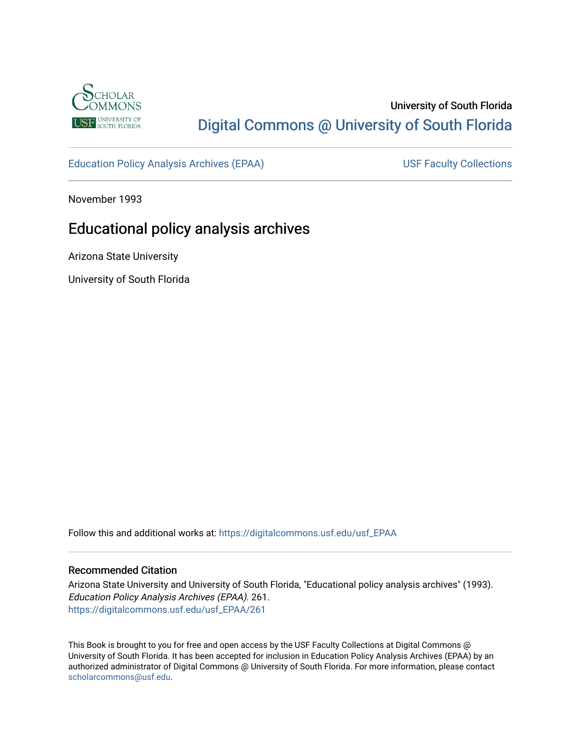

# University of South Florida [Digital Commons @ University of South Florida](https://digitalcommons.usf.edu/)

[Education Policy Analysis Archives \(EPAA\)](https://digitalcommons.usf.edu/usf_EPAA) USF Faculty Collections

November 1993

# Educational policy analysis archives

Arizona State University

University of South Florida

Follow this and additional works at: [https://digitalcommons.usf.edu/usf\\_EPAA](https://digitalcommons.usf.edu/usf_EPAA?utm_source=digitalcommons.usf.edu%2Fusf_EPAA%2F261&utm_medium=PDF&utm_campaign=PDFCoverPages)

#### Recommended Citation

Arizona State University and University of South Florida, "Educational policy analysis archives" (1993). Education Policy Analysis Archives (EPAA). 261. [https://digitalcommons.usf.edu/usf\\_EPAA/261](https://digitalcommons.usf.edu/usf_EPAA/261?utm_source=digitalcommons.usf.edu%2Fusf_EPAA%2F261&utm_medium=PDF&utm_campaign=PDFCoverPages)

This Book is brought to you for free and open access by the USF Faculty Collections at Digital Commons @ University of South Florida. It has been accepted for inclusion in Education Policy Analysis Archives (EPAA) by an authorized administrator of Digital Commons @ University of South Florida. For more information, please contact [scholarcommons@usf.edu.](mailto:scholarcommons@usf.edu)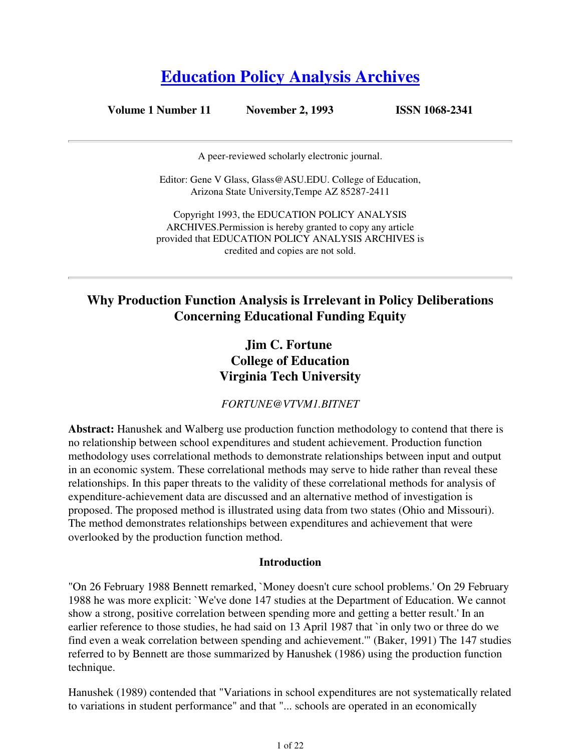# **Education Policy Analysis Archives**

**Volume 1 Number 11 November 2, 1993 ISSN 1068-2341**

A peer-reviewed scholarly electronic journal.

Editor: Gene V Glass, Glass@ASU.EDU. College of Education, Arizona State University,Tempe AZ 85287-2411

Copyright 1993, the EDUCATION POLICY ANALYSIS ARCHIVES.Permission is hereby granted to copy any article provided that EDUCATION POLICY ANALYSIS ARCHIVES is credited and copies are not sold.

# **Why Production Function Analysis is Irrelevant in Policy Deliberations Concerning Educational Funding Equity**

## **Jim C. Fortune College of Education Virginia Tech University**

*FORTUNE@VTVM1.BITNET*

**Abstract:** Hanushek and Walberg use production function methodology to contend that there is no relationship between school expenditures and student achievement. Production function methodology uses correlational methods to demonstrate relationships between input and output in an economic system. These correlational methods may serve to hide rather than reveal these relationships. In this paper threats to the validity of these correlational methods for analysis of expenditure-achievement data are discussed and an alternative method of investigation is proposed. The proposed method is illustrated using data from two states (Ohio and Missouri). The method demonstrates relationships between expenditures and achievement that were overlooked by the production function method.

#### **Introduction**

"On 26 February 1988 Bennett remarked, `Money doesn't cure school problems.' On 29 February 1988 he was more explicit: `We've done 147 studies at the Department of Education. We cannot show a strong, positive correlation between spending more and getting a better result.' In an earlier reference to those studies, he had said on 13 April 1987 that `in only two or three do we find even a weak correlation between spending and achievement.'" (Baker, 1991) The 147 studies referred to by Bennett are those summarized by Hanushek (1986) using the production function technique.

Hanushek (1989) contended that "Variations in school expenditures are not systematically related to variations in student performance" and that "... schools are operated in an economically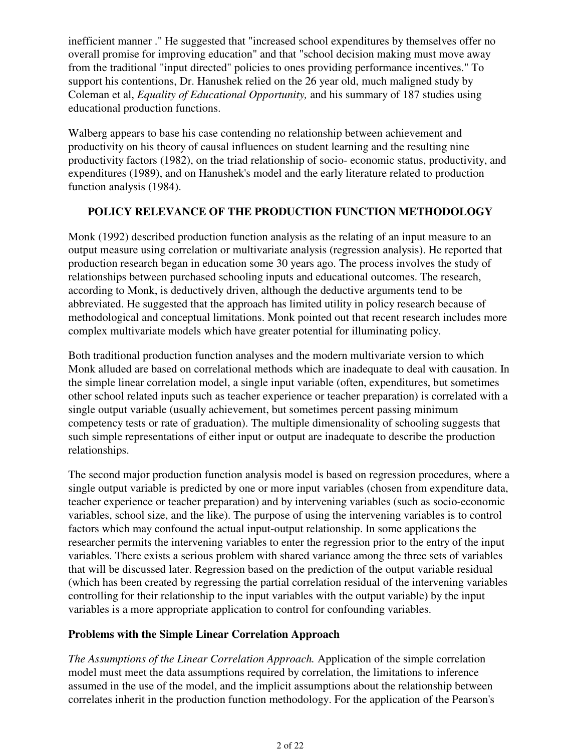inefficient manner ." He suggested that "increased school expenditures by themselves offer no overall promise for improving education" and that "school decision making must move away from the traditional "input directed" policies to ones providing performance incentives." To support his contentions, Dr. Hanushek relied on the 26 year old, much maligned study by Coleman et al, *Equality of Educational Opportunity,* and his summary of 187 studies using educational production functions.

Walberg appears to base his case contending no relationship between achievement and productivity on his theory of causal influences on student learning and the resulting nine productivity factors (1982), on the triad relationship of socio- economic status, productivity, and expenditures (1989), and on Hanushek's model and the early literature related to production function analysis (1984).

## **POLICY RELEVANCE OF THE PRODUCTION FUNCTION METHODOLOGY**

Monk (1992) described production function analysis as the relating of an input measure to an output measure using correlation or multivariate analysis (regression analysis). He reported that production research began in education some 30 years ago. The process involves the study of relationships between purchased schooling inputs and educational outcomes. The research, according to Monk, is deductively driven, although the deductive arguments tend to be abbreviated. He suggested that the approach has limited utility in policy research because of methodological and conceptual limitations. Monk pointed out that recent research includes more complex multivariate models which have greater potential for illuminating policy.

Both traditional production function analyses and the modern multivariate version to which Monk alluded are based on correlational methods which are inadequate to deal with causation. In the simple linear correlation model, a single input variable (often, expenditures, but sometimes other school related inputs such as teacher experience or teacher preparation) is correlated with a single output variable (usually achievement, but sometimes percent passing minimum competency tests or rate of graduation). The multiple dimensionality of schooling suggests that such simple representations of either input or output are inadequate to describe the production relationships.

The second major production function analysis model is based on regression procedures, where a single output variable is predicted by one or more input variables (chosen from expenditure data, teacher experience or teacher preparation) and by intervening variables (such as socio-economic variables, school size, and the like). The purpose of using the intervening variables is to control factors which may confound the actual input-output relationship. In some applications the researcher permits the intervening variables to enter the regression prior to the entry of the input variables. There exists a serious problem with shared variance among the three sets of variables that will be discussed later. Regression based on the prediction of the output variable residual (which has been created by regressing the partial correlation residual of the intervening variables controlling for their relationship to the input variables with the output variable) by the input variables is a more appropriate application to control for confounding variables.

### **Problems with the Simple Linear Correlation Approach**

*The Assumptions of the Linear Correlation Approach.* Application of the simple correlation model must meet the data assumptions required by correlation, the limitations to inference assumed in the use of the model, and the implicit assumptions about the relationship between correlates inherit in the production function methodology. For the application of the Pearson's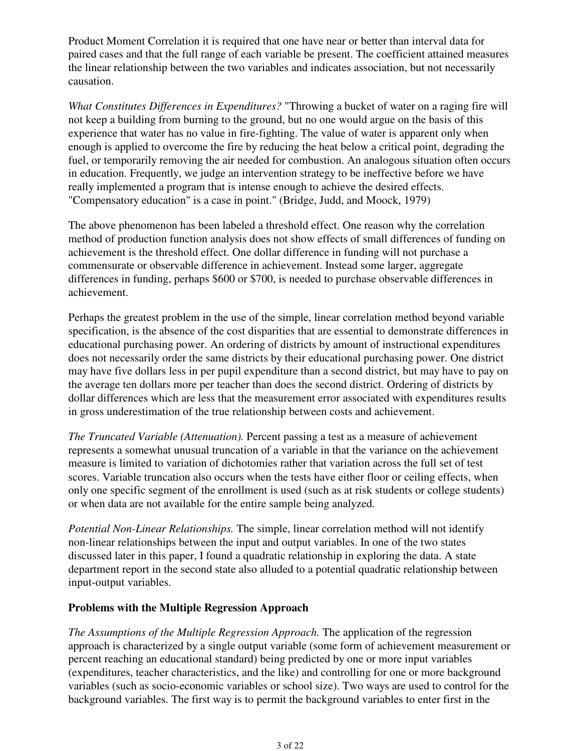Product Moment Correlation it is required that one have near or better than interval data for paired cases and that the full range of each variable be present. The coefficient attained measures the linear relationship between the two variables and indicates association, but not necessarily causation.

*What Constitutes Differences in Expenditures?* "Throwing a bucket of water on a raging fire will not keep a building from burning to the ground, but no one would argue on the basis of this experience that water has no value in fire-fighting. The value of water is apparent only when enough is applied to overcome the fire by reducing the heat below a critical point, degrading the fuel, or temporarily removing the air needed for combustion. An analogous situation often occurs in education. Frequently, we judge an intervention strategy to be ineffective before we have really implemented a program that is intense enough to achieve the desired effects. "Compensatory education" is a case in point." (Bridge, Judd, and Moock, 1979)

The above phenomenon has been labeled a threshold effect. One reason why the correlation method of production function analysis does not show effects of small differences of funding on achievement is the threshold effect. One dollar difference in funding will not purchase a commensurate or observable difference in achievement. Instead some larger, aggregate differences in funding, perhaps \$600 or \$700, is needed to purchase observable differences in achievement.

Perhaps the greatest problem in the use of the simple, linear correlation method beyond variable specification, is the absence of the cost disparities that are essential to demonstrate differences in educational purchasing power. An ordering of districts by amount of instructional expenditures does not necessarily order the same districts by their educational purchasing power. One district may have five dollars less in per pupil expenditure than a second district, but may have to pay on the average ten dollars more per teacher than does the second district. Ordering of districts by dollar differences which are less that the measurement error associated with expenditures results in gross underestimation of the true relationship between costs and achievement.

*The Truncated Variable (Attenuation).* Percent passing a test as a measure of achievement represents a somewhat unusual truncation of a variable in that the variance on the achievement measure is limited to variation of dichotomies rather that variation across the full set of test scores. Variable truncation also occurs when the tests have either floor or ceiling effects, when only one specific segment of the enrollment is used (such as at risk students or college students) or when data are not available for the entire sample being analyzed.

*Potential Non-Linear Relationships.* The simple, linear correlation method will not identify non-linear relationships between the input and output variables. In one of the two states discussed later in this paper, I found a quadratic relationship in exploring the data. A state department report in the second state also alluded to a potential quadratic relationship between input-output variables.

#### **Problems with the Multiple Regression Approach**

*The Assumptions of the Multiple Regression Approach.* The application of the regression approach is characterized by a single output variable (some form of achievement measurement or percent reaching an educational standard) being predicted by one or more input variables (expenditures, teacher characteristics, and the like) and controlling for one or more background variables (such as socio-economic variables or school size). Two ways are used to control for the background variables. The first way is to permit the background variables to enter first in the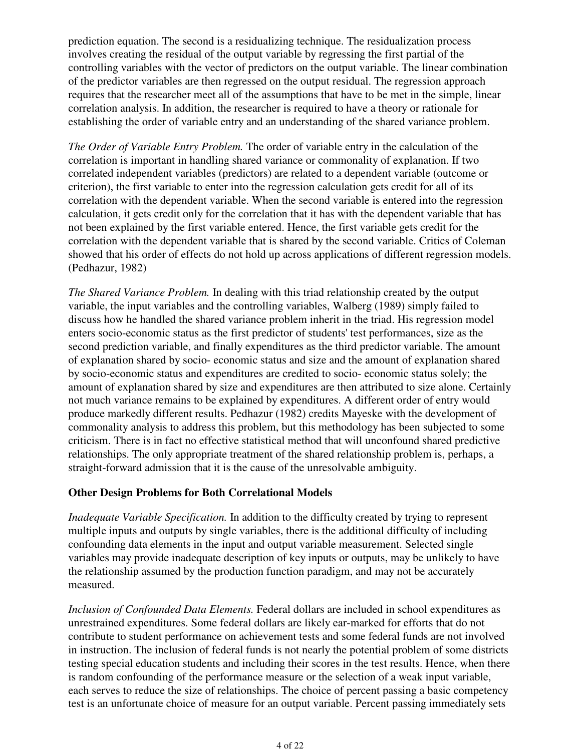prediction equation. The second is a residualizing technique. The residualization process involves creating the residual of the output variable by regressing the first partial of the controlling variables with the vector of predictors on the output variable. The linear combination of the predictor variables are then regressed on the output residual. The regression approach requires that the researcher meet all of the assumptions that have to be met in the simple, linear correlation analysis. In addition, the researcher is required to have a theory or rationale for establishing the order of variable entry and an understanding of the shared variance problem.

*The Order of Variable Entry Problem.* The order of variable entry in the calculation of the correlation is important in handling shared variance or commonality of explanation. If two correlated independent variables (predictors) are related to a dependent variable (outcome or criterion), the first variable to enter into the regression calculation gets credit for all of its correlation with the dependent variable. When the second variable is entered into the regression calculation, it gets credit only for the correlation that it has with the dependent variable that has not been explained by the first variable entered. Hence, the first variable gets credit for the correlation with the dependent variable that is shared by the second variable. Critics of Coleman showed that his order of effects do not hold up across applications of different regression models. (Pedhazur, 1982)

*The Shared Variance Problem.* In dealing with this triad relationship created by the output variable, the input variables and the controlling variables, Walberg (1989) simply failed to discuss how he handled the shared variance problem inherit in the triad. His regression model enters socio-economic status as the first predictor of students' test performances, size as the second prediction variable, and finally expenditures as the third predictor variable. The amount of explanation shared by socio- economic status and size and the amount of explanation shared by socio-economic status and expenditures are credited to socio- economic status solely; the amount of explanation shared by size and expenditures are then attributed to size alone. Certainly not much variance remains to be explained by expenditures. A different order of entry would produce markedly different results. Pedhazur (1982) credits Mayeske with the development of commonality analysis to address this problem, but this methodology has been subjected to some criticism. There is in fact no effective statistical method that will unconfound shared predictive relationships. The only appropriate treatment of the shared relationship problem is, perhaps, a straight-forward admission that it is the cause of the unresolvable ambiguity.

#### **Other Design Problems for Both Correlational Models**

*Inadequate Variable Specification.* In addition to the difficulty created by trying to represent multiple inputs and outputs by single variables, there is the additional difficulty of including confounding data elements in the input and output variable measurement. Selected single variables may provide inadequate description of key inputs or outputs, may be unlikely to have the relationship assumed by the production function paradigm, and may not be accurately measured.

*Inclusion of Confounded Data Elements.* Federal dollars are included in school expenditures as unrestrained expenditures. Some federal dollars are likely ear-marked for efforts that do not contribute to student performance on achievement tests and some federal funds are not involved in instruction. The inclusion of federal funds is not nearly the potential problem of some districts testing special education students and including their scores in the test results. Hence, when there is random confounding of the performance measure or the selection of a weak input variable, each serves to reduce the size of relationships. The choice of percent passing a basic competency test is an unfortunate choice of measure for an output variable. Percent passing immediately sets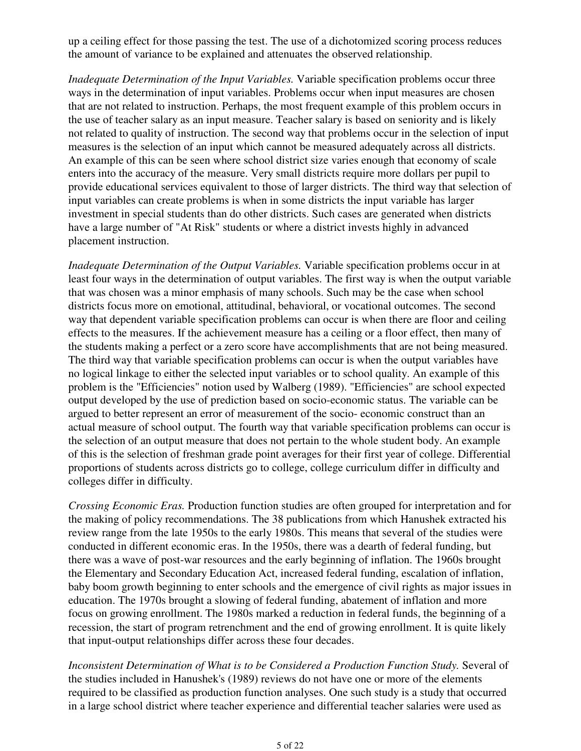up a ceiling effect for those passing the test. The use of a dichotomized scoring process reduces the amount of variance to be explained and attenuates the observed relationship.

*Inadequate Determination of the Input Variables.* Variable specification problems occur three ways in the determination of input variables. Problems occur when input measures are chosen that are not related to instruction. Perhaps, the most frequent example of this problem occurs in the use of teacher salary as an input measure. Teacher salary is based on seniority and is likely not related to quality of instruction. The second way that problems occur in the selection of input measures is the selection of an input which cannot be measured adequately across all districts. An example of this can be seen where school district size varies enough that economy of scale enters into the accuracy of the measure. Very small districts require more dollars per pupil to provide educational services equivalent to those of larger districts. The third way that selection of input variables can create problems is when in some districts the input variable has larger investment in special students than do other districts. Such cases are generated when districts have a large number of "At Risk" students or where a district invests highly in advanced placement instruction.

*Inadequate Determination of the Output Variables.* Variable specification problems occur in at least four ways in the determination of output variables. The first way is when the output variable that was chosen was a minor emphasis of many schools. Such may be the case when school districts focus more on emotional, attitudinal, behavioral, or vocational outcomes. The second way that dependent variable specification problems can occur is when there are floor and ceiling effects to the measures. If the achievement measure has a ceiling or a floor effect, then many of the students making a perfect or a zero score have accomplishments that are not being measured. The third way that variable specification problems can occur is when the output variables have no logical linkage to either the selected input variables or to school quality. An example of this problem is the "Efficiencies" notion used by Walberg (1989). "Efficiencies" are school expected output developed by the use of prediction based on socio-economic status. The variable can be argued to better represent an error of measurement of the socio- economic construct than an actual measure of school output. The fourth way that variable specification problems can occur is the selection of an output measure that does not pertain to the whole student body. An example of this is the selection of freshman grade point averages for their first year of college. Differential proportions of students across districts go to college, college curriculum differ in difficulty and colleges differ in difficulty.

*Crossing Economic Eras.* Production function studies are often grouped for interpretation and for the making of policy recommendations. The 38 publications from which Hanushek extracted his review range from the late 1950s to the early 1980s. This means that several of the studies were conducted in different economic eras. In the 1950s, there was a dearth of federal funding, but there was a wave of post-war resources and the early beginning of inflation. The 1960s brought the Elementary and Secondary Education Act, increased federal funding, escalation of inflation, baby boom growth beginning to enter schools and the emergence of civil rights as major issues in education. The 1970s brought a slowing of federal funding, abatement of inflation and more focus on growing enrollment. The 1980s marked a reduction in federal funds, the beginning of a recession, the start of program retrenchment and the end of growing enrollment. It is quite likely that input-output relationships differ across these four decades.

*Inconsistent Determination of What is to be Considered a Production Function Study.* Several of the studies included in Hanushek's (1989) reviews do not have one or more of the elements required to be classified as production function analyses. One such study is a study that occurred in a large school district where teacher experience and differential teacher salaries were used as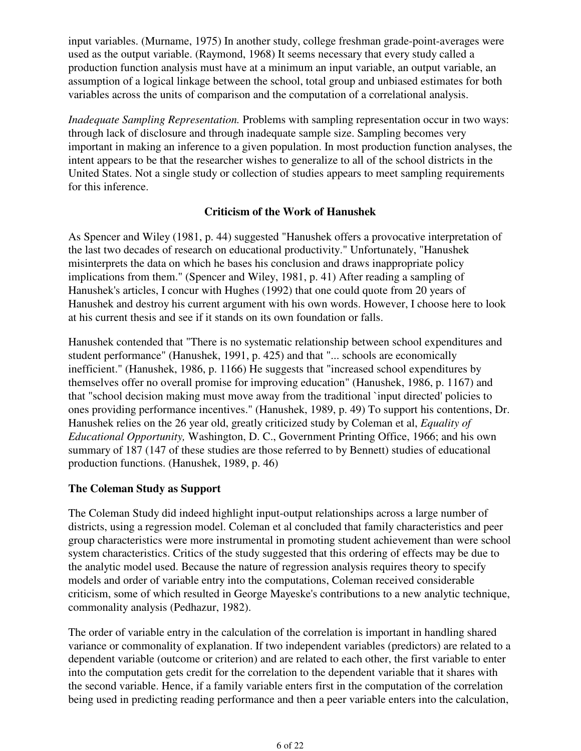input variables. (Murname, 1975) In another study, college freshman grade-point-averages were used as the output variable. (Raymond, 1968) It seems necessary that every study called a production function analysis must have at a minimum an input variable, an output variable, an assumption of a logical linkage between the school, total group and unbiased estimates for both variables across the units of comparison and the computation of a correlational analysis.

*Inadequate Sampling Representation.* Problems with sampling representation occur in two ways: through lack of disclosure and through inadequate sample size. Sampling becomes very important in making an inference to a given population. In most production function analyses, the intent appears to be that the researcher wishes to generalize to all of the school districts in the United States. Not a single study or collection of studies appears to meet sampling requirements for this inference.

### **Criticism of the Work of Hanushek**

As Spencer and Wiley (1981, p. 44) suggested "Hanushek offers a provocative interpretation of the last two decades of research on educational productivity." Unfortunately, "Hanushek misinterprets the data on which he bases his conclusion and draws inappropriate policy implications from them." (Spencer and Wiley, 1981, p. 41) After reading a sampling of Hanushek's articles, I concur with Hughes (1992) that one could quote from 20 years of Hanushek and destroy his current argument with his own words. However, I choose here to look at his current thesis and see if it stands on its own foundation or falls.

Hanushek contended that "There is no systematic relationship between school expenditures and student performance" (Hanushek, 1991, p. 425) and that "... schools are economically inefficient." (Hanushek, 1986, p. 1166) He suggests that "increased school expenditures by themselves offer no overall promise for improving education" (Hanushek, 1986, p. 1167) and that "school decision making must move away from the traditional `input directed' policies to ones providing performance incentives." (Hanushek, 1989, p. 49) To support his contentions, Dr. Hanushek relies on the 26 year old, greatly criticized study by Coleman et al, *Equality of Educational Opportunity,* Washington, D. C., Government Printing Office, 1966; and his own summary of 187 (147 of these studies are those referred to by Bennett) studies of educational production functions. (Hanushek, 1989, p. 46)

### **The Coleman Study as Support**

The Coleman Study did indeed highlight input-output relationships across a large number of districts, using a regression model. Coleman et al concluded that family characteristics and peer group characteristics were more instrumental in promoting student achievement than were school system characteristics. Critics of the study suggested that this ordering of effects may be due to the analytic model used. Because the nature of regression analysis requires theory to specify models and order of variable entry into the computations, Coleman received considerable criticism, some of which resulted in George Mayeske's contributions to a new analytic technique, commonality analysis (Pedhazur, 1982).

The order of variable entry in the calculation of the correlation is important in handling shared variance or commonality of explanation. If two independent variables (predictors) are related to a dependent variable (outcome or criterion) and are related to each other, the first variable to enter into the computation gets credit for the correlation to the dependent variable that it shares with the second variable. Hence, if a family variable enters first in the computation of the correlation being used in predicting reading performance and then a peer variable enters into the calculation,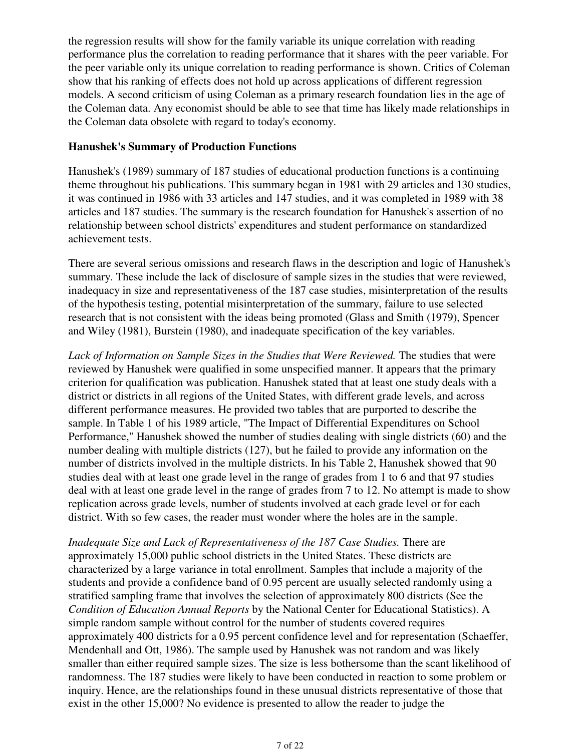the regression results will show for the family variable its unique correlation with reading performance plus the correlation to reading performance that it shares with the peer variable. For the peer variable only its unique correlation to reading performance is shown. Critics of Coleman show that his ranking of effects does not hold up across applications of different regression models. A second criticism of using Coleman as a primary research foundation lies in the age of the Coleman data. Any economist should be able to see that time has likely made relationships in the Coleman data obsolete with regard to today's economy.

#### **Hanushek's Summary of Production Functions**

Hanushek's (1989) summary of 187 studies of educational production functions is a continuing theme throughout his publications. This summary began in 1981 with 29 articles and 130 studies, it was continued in 1986 with 33 articles and 147 studies, and it was completed in 1989 with 38 articles and 187 studies. The summary is the research foundation for Hanushek's assertion of no relationship between school districts' expenditures and student performance on standardized achievement tests.

There are several serious omissions and research flaws in the description and logic of Hanushek's summary. These include the lack of disclosure of sample sizes in the studies that were reviewed, inadequacy in size and representativeness of the 187 case studies, misinterpretation of the results of the hypothesis testing, potential misinterpretation of the summary, failure to use selected research that is not consistent with the ideas being promoted (Glass and Smith (1979), Spencer and Wiley (1981), Burstein (1980), and inadequate specification of the key variables.

*Lack of Information on Sample Sizes in the Studies that Were Reviewed.* The studies that were reviewed by Hanushek were qualified in some unspecified manner. It appears that the primary criterion for qualification was publication. Hanushek stated that at least one study deals with a district or districts in all regions of the United States, with different grade levels, and across different performance measures. He provided two tables that are purported to describe the sample. In Table 1 of his 1989 article, "The Impact of Differential Expenditures on School Performance," Hanushek showed the number of studies dealing with single districts (60) and the number dealing with multiple districts (127), but he failed to provide any information on the number of districts involved in the multiple districts. In his Table 2, Hanushek showed that 90 studies deal with at least one grade level in the range of grades from 1 to 6 and that 97 studies deal with at least one grade level in the range of grades from 7 to 12. No attempt is made to show replication across grade levels, number of students involved at each grade level or for each district. With so few cases, the reader must wonder where the holes are in the sample.

*Inadequate Size and Lack of Representativeness of the 187 Case Studies.* There are approximately 15,000 public school districts in the United States. These districts are characterized by a large variance in total enrollment. Samples that include a majority of the students and provide a confidence band of 0.95 percent are usually selected randomly using a stratified sampling frame that involves the selection of approximately 800 districts (See the *Condition of Education Annual Reports* by the National Center for Educational Statistics). A simple random sample without control for the number of students covered requires approximately 400 districts for a 0.95 percent confidence level and for representation (Schaeffer, Mendenhall and Ott, 1986). The sample used by Hanushek was not random and was likely smaller than either required sample sizes. The size is less bothersome than the scant likelihood of randomness. The 187 studies were likely to have been conducted in reaction to some problem or inquiry. Hence, are the relationships found in these unusual districts representative of those that exist in the other 15,000? No evidence is presented to allow the reader to judge the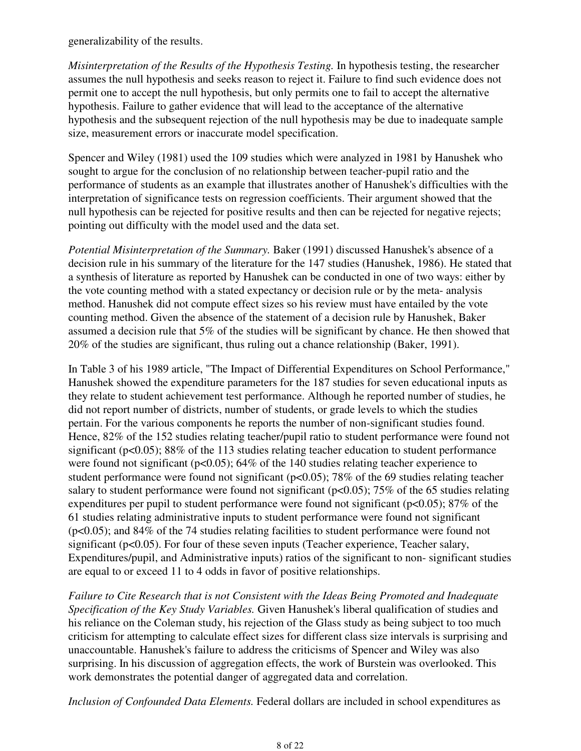generalizability of the results.

*Misinterpretation of the Results of the Hypothesis Testing.* In hypothesis testing, the researcher assumes the null hypothesis and seeks reason to reject it. Failure to find such evidence does not permit one to accept the null hypothesis, but only permits one to fail to accept the alternative hypothesis. Failure to gather evidence that will lead to the acceptance of the alternative hypothesis and the subsequent rejection of the null hypothesis may be due to inadequate sample size, measurement errors or inaccurate model specification.

Spencer and Wiley (1981) used the 109 studies which were analyzed in 1981 by Hanushek who sought to argue for the conclusion of no relationship between teacher-pupil ratio and the performance of students as an example that illustrates another of Hanushek's difficulties with the interpretation of significance tests on regression coefficients. Their argument showed that the null hypothesis can be rejected for positive results and then can be rejected for negative rejects; pointing out difficulty with the model used and the data set.

*Potential Misinterpretation of the Summary.* Baker (1991) discussed Hanushek's absence of a decision rule in his summary of the literature for the 147 studies (Hanushek, 1986). He stated that a synthesis of literature as reported by Hanushek can be conducted in one of two ways: either by the vote counting method with a stated expectancy or decision rule or by the meta- analysis method. Hanushek did not compute effect sizes so his review must have entailed by the vote counting method. Given the absence of the statement of a decision rule by Hanushek, Baker assumed a decision rule that 5% of the studies will be significant by chance. He then showed that 20% of the studies are significant, thus ruling out a chance relationship (Baker, 1991).

In Table 3 of his 1989 article, "The Impact of Differential Expenditures on School Performance," Hanushek showed the expenditure parameters for the 187 studies for seven educational inputs as they relate to student achievement test performance. Although he reported number of studies, he did not report number of districts, number of students, or grade levels to which the studies pertain. For the various components he reports the number of non-significant studies found. Hence, 82% of the 152 studies relating teacher/pupil ratio to student performance were found not significant (p<0.05); 88% of the 113 studies relating teacher education to student performance were found not significant (p<0.05); 64% of the 140 studies relating teacher experience to student performance were found not significant (p<0.05); 78% of the 69 studies relating teacher salary to student performance were found not significant ( $p<0.05$ ); 75% of the 65 studies relating expenditures per pupil to student performance were found not significant ( $p<0.05$ ); 87% of the 61 studies relating administrative inputs to student performance were found not significant (p<0.05); and 84% of the 74 studies relating facilities to student performance were found not significant ( $p<0.05$ ). For four of these seven inputs (Teacher experience, Teacher salary, Expenditures/pupil, and Administrative inputs) ratios of the significant to non- significant studies are equal to or exceed 11 to 4 odds in favor of positive relationships.

*Failure to Cite Research that is not Consistent with the Ideas Being Promoted and Inadequate Specification of the Key Study Variables.* Given Hanushek's liberal qualification of studies and his reliance on the Coleman study, his rejection of the Glass study as being subject to too much criticism for attempting to calculate effect sizes for different class size intervals is surprising and unaccountable. Hanushek's failure to address the criticisms of Spencer and Wiley was also surprising. In his discussion of aggregation effects, the work of Burstein was overlooked. This work demonstrates the potential danger of aggregated data and correlation.

*Inclusion of Confounded Data Elements.* Federal dollars are included in school expenditures as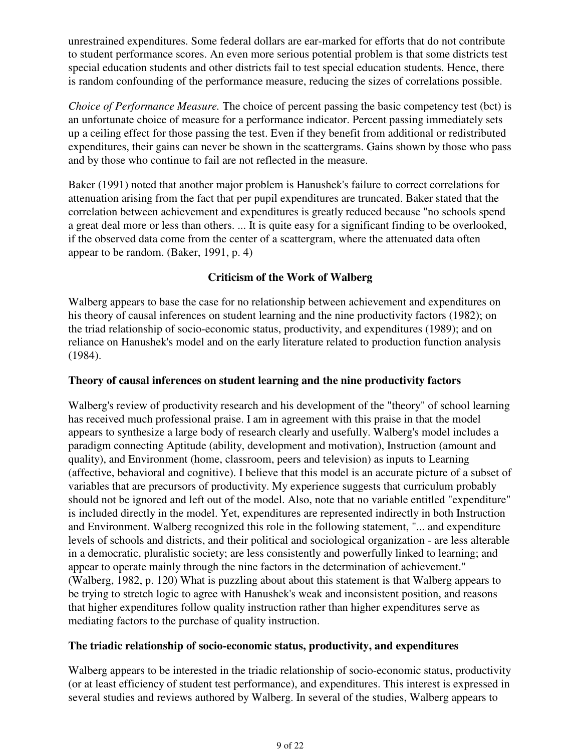unrestrained expenditures. Some federal dollars are ear-marked for efforts that do not contribute to student performance scores. An even more serious potential problem is that some districts test special education students and other districts fail to test special education students. Hence, there is random confounding of the performance measure, reducing the sizes of correlations possible.

*Choice of Performance Measure.* The choice of percent passing the basic competency test (bct) is an unfortunate choice of measure for a performance indicator. Percent passing immediately sets up a ceiling effect for those passing the test. Even if they benefit from additional or redistributed expenditures, their gains can never be shown in the scattergrams. Gains shown by those who pass and by those who continue to fail are not reflected in the measure.

Baker (1991) noted that another major problem is Hanushek's failure to correct correlations for attenuation arising from the fact that per pupil expenditures are truncated. Baker stated that the correlation between achievement and expenditures is greatly reduced because "no schools spend a great deal more or less than others. ... It is quite easy for a significant finding to be overlooked, if the observed data come from the center of a scattergram, where the attenuated data often appear to be random. (Baker, 1991, p. 4)

## **Criticism of the Work of Walberg**

Walberg appears to base the case for no relationship between achievement and expenditures on his theory of causal inferences on student learning and the nine productivity factors (1982); on the triad relationship of socio-economic status, productivity, and expenditures (1989); and on reliance on Hanushek's model and on the early literature related to production function analysis (1984).

### **Theory of causal inferences on student learning and the nine productivity factors**

Walberg's review of productivity research and his development of the "theory" of school learning has received much professional praise. I am in agreement with this praise in that the model appears to synthesize a large body of research clearly and usefully. Walberg's model includes a paradigm connecting Aptitude (ability, development and motivation), Instruction (amount and quality), and Environment (home, classroom, peers and television) as inputs to Learning (affective, behavioral and cognitive). I believe that this model is an accurate picture of a subset of variables that are precursors of productivity. My experience suggests that curriculum probably should not be ignored and left out of the model. Also, note that no variable entitled "expenditure" is included directly in the model. Yet, expenditures are represented indirectly in both Instruction and Environment. Walberg recognized this role in the following statement, "... and expenditure levels of schools and districts, and their political and sociological organization - are less alterable in a democratic, pluralistic society; are less consistently and powerfully linked to learning; and appear to operate mainly through the nine factors in the determination of achievement." (Walberg, 1982, p. 120) What is puzzling about about this statement is that Walberg appears to be trying to stretch logic to agree with Hanushek's weak and inconsistent position, and reasons that higher expenditures follow quality instruction rather than higher expenditures serve as mediating factors to the purchase of quality instruction.

### **The triadic relationship of socio-economic status, productivity, and expenditures**

Walberg appears to be interested in the triadic relationship of socio-economic status, productivity (or at least efficiency of student test performance), and expenditures. This interest is expressed in several studies and reviews authored by Walberg. In several of the studies, Walberg appears to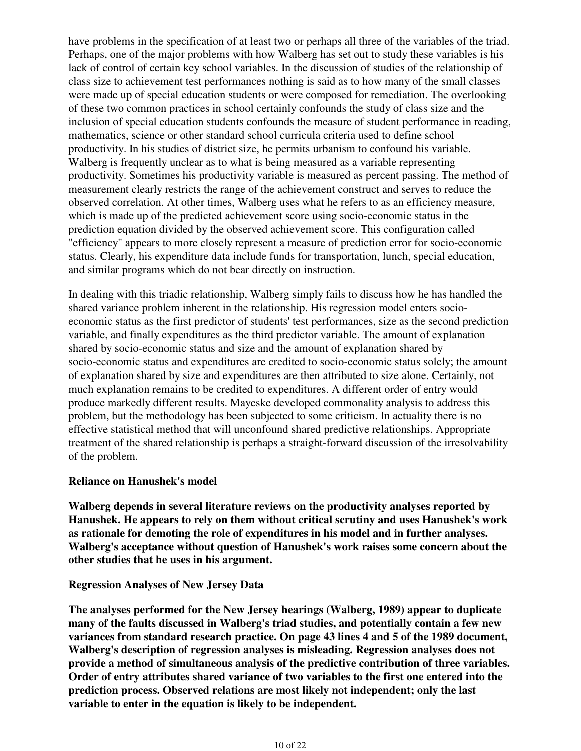have problems in the specification of at least two or perhaps all three of the variables of the triad. Perhaps, one of the major problems with how Walberg has set out to study these variables is his lack of control of certain key school variables. In the discussion of studies of the relationship of class size to achievement test performances nothing is said as to how many of the small classes were made up of special education students or were composed for remediation. The overlooking of these two common practices in school certainly confounds the study of class size and the inclusion of special education students confounds the measure of student performance in reading, mathematics, science or other standard school curricula criteria used to define school productivity. In his studies of district size, he permits urbanism to confound his variable. Walberg is frequently unclear as to what is being measured as a variable representing productivity. Sometimes his productivity variable is measured as percent passing. The method of measurement clearly restricts the range of the achievement construct and serves to reduce the observed correlation. At other times, Walberg uses what he refers to as an efficiency measure, which is made up of the predicted achievement score using socio-economic status in the prediction equation divided by the observed achievement score. This configuration called "efficiency" appears to more closely represent a measure of prediction error for socio-economic status. Clearly, his expenditure data include funds for transportation, lunch, special education, and similar programs which do not bear directly on instruction.

In dealing with this triadic relationship, Walberg simply fails to discuss how he has handled the shared variance problem inherent in the relationship. His regression model enters socioeconomic status as the first predictor of students' test performances, size as the second prediction variable, and finally expenditures as the third predictor variable. The amount of explanation shared by socio-economic status and size and the amount of explanation shared by socio-economic status and expenditures are credited to socio-economic status solely; the amount of explanation shared by size and expenditures are then attributed to size alone. Certainly, not much explanation remains to be credited to expenditures. A different order of entry would produce markedly different results. Mayeske developed commonality analysis to address this problem, but the methodology has been subjected to some criticism. In actuality there is no effective statistical method that will unconfound shared predictive relationships. Appropriate treatment of the shared relationship is perhaps a straight-forward discussion of the irresolvability of the problem.

#### **Reliance on Hanushek's model**

**Walberg depends in several literature reviews on the productivity analyses reported by Hanushek. He appears to rely on them without critical scrutiny and uses Hanushek's work as rationale for demoting the role of expenditures in his model and in further analyses. Walberg's acceptance without question of Hanushek's work raises some concern about the other studies that he uses in his argument.**

#### **Regression Analyses of New Jersey Data**

**The analyses performed for the New Jersey hearings (Walberg, 1989) appear to duplicate many of the faults discussed in Walberg's triad studies, and potentially contain a few new variances from standard research practice. On page 43 lines 4 and 5 of the 1989 document, Walberg's description of regression analyses is misleading. Regression analyses does not provide a method of simultaneous analysis of the predictive contribution of three variables. Order of entry attributes shared variance of two variables to the first one entered into the prediction process. Observed relations are most likely not independent; only the last variable to enter in the equation is likely to be independent.**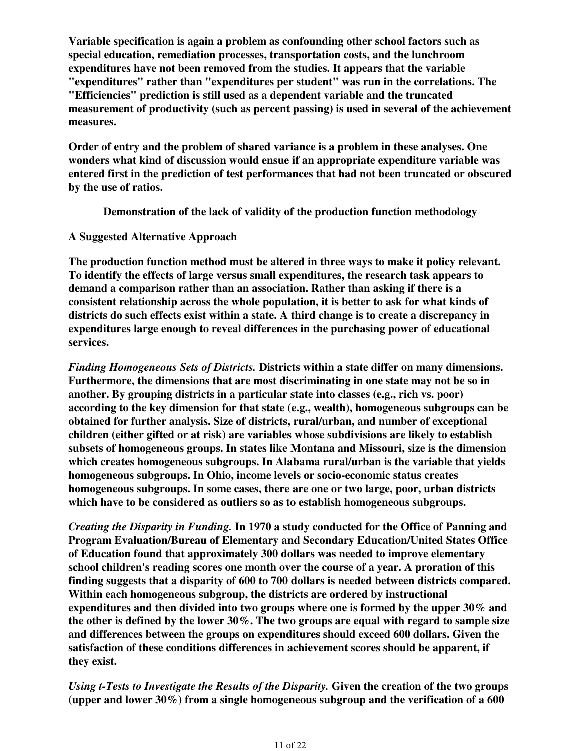**Variable specification is again a problem as confounding other school factors such as special education, remediation processes, transportation costs, and the lunchroom expenditures have not been removed from the studies. It appears that the variable "expenditures" rather than "expenditures per student" was run in the correlations. The "Efficiencies" prediction is still used as a dependent variable and the truncated measurement of productivity (such as percent passing) is used in several of the achievement measures.**

**Order of entry and the problem of shared variance is a problem in these analyses. One wonders what kind of discussion would ensue if an appropriate expenditure variable was entered first in the prediction of test performances that had not been truncated or obscured by the use of ratios.**

**Demonstration of the lack of validity of the production function methodology**

### **A Suggested Alternative Approach**

**The production function method must be altered in three ways to make it policy relevant. To identify the effects of large versus small expenditures, the research task appears to demand a comparison rather than an association. Rather than asking if there is a consistent relationship across the whole population, it is better to ask for what kinds of districts do such effects exist within a state. A third change is to create a discrepancy in expenditures large enough to reveal differences in the purchasing power of educational services.**

*Finding Homogeneous Sets of Districts.* **Districts within a state differ on many dimensions. Furthermore, the dimensions that are most discriminating in one state may not be so in another. By grouping districts in a particular state into classes (e.g., rich vs. poor) according to the key dimension for that state (e.g., wealth), homogeneous subgroups can be obtained for further analysis. Size of districts, rural/urban, and number of exceptional children (either gifted or at risk) are variables whose subdivisions are likely to establish subsets of homogeneous groups. In states like Montana and Missouri, size is the dimension which creates homogeneous subgroups. In Alabama rural/urban is the variable that yields homogeneous subgroups. In Ohio, income levels or socio-economic status creates homogeneous subgroups. In some cases, there are one or two large, poor, urban districts which have to be considered as outliers so as to establish homogeneous subgroups.**

*Creating the Disparity in Funding.* **In 1970 a study conducted for the Office of Panning and Program Evaluation/Bureau of Elementary and Secondary Education/United States Office of Education found that approximately 300 dollars was needed to improve elementary school children's reading scores one month over the course of a year. A proration of this finding suggests that a disparity of 600 to 700 dollars is needed between districts compared. Within each homogeneous subgroup, the districts are ordered by instructional expenditures and then divided into two groups where one is formed by the upper 30% and the other is defined by the lower 30%. The two groups are equal with regard to sample size and differences between the groups on expenditures should exceed 600 dollars. Given the satisfaction of these conditions differences in achievement scores should be apparent, if they exist.**

*Using t-Tests to Investigate the Results of the Disparity.* **Given the creation of the two groups (upper and lower 30%) from a single homogeneous subgroup and the verification of a 600**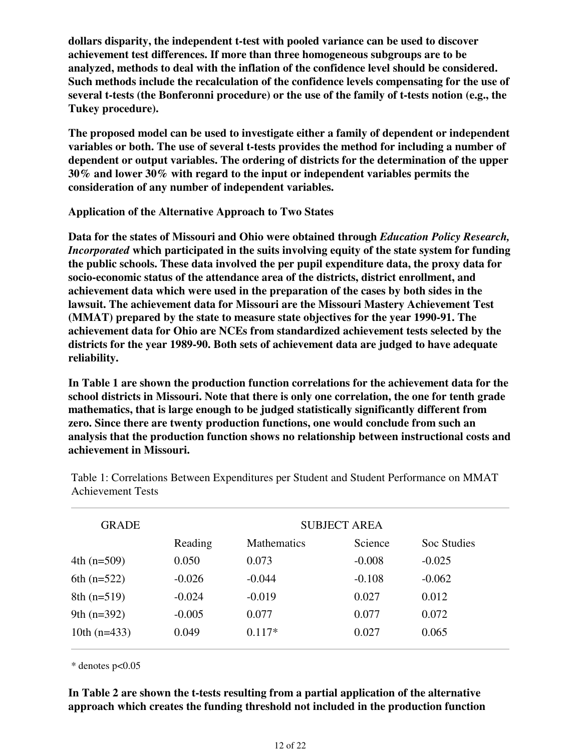**dollars disparity, the independent t-test with pooled variance can be used to discover achievement test differences. If more than three homogeneous subgroups are to be analyzed, methods to deal with the inflation of the confidence level should be considered. Such methods include the recalculation of the confidence levels compensating for the use of several t-tests (the Bonferonni procedure) or the use of the family of t-tests notion (e.g., the Tukey procedure).** 

**The proposed model can be used to investigate either a family of dependent or independent variables or both. The use of several t-tests provides the method for including a number of dependent or output variables. The ordering of districts for the determination of the upper 30% and lower 30% with regard to the input or independent variables permits the consideration of any number of independent variables.**

**Application of the Alternative Approach to Two States**

**Data for the states of Missouri and Ohio were obtained through** *Education Policy Research, Incorporated* **which participated in the suits involving equity of the state system for funding the public schools. These data involved the per pupil expenditure data, the proxy data for socio-economic status of the attendance area of the districts, district enrollment, and achievement data which were used in the preparation of the cases by both sides in the lawsuit. The achievement data for Missouri are the Missouri Mastery Achievement Test (MMAT) prepared by the state to measure state objectives for the year 1990-91. The achievement data for Ohio are NCEs from standardized achievement tests selected by the districts for the year 1989-90. Both sets of achievement data are judged to have adequate reliability.**

**In Table 1 are shown the production function correlations for the achievement data for the school districts in Missouri. Note that there is only one correlation, the one for tenth grade mathematics, that is large enough to be judged statistically significantly different from zero. Since there are twenty production functions, one would conclude from such an analysis that the production function shows no relationship between instructional costs and achievement in Missouri.**

| <b>GRADE</b>   | <b>SUBJECT AREA</b> |                    |          |             |  |
|----------------|---------------------|--------------------|----------|-------------|--|
|                | Reading             | <b>Mathematics</b> | Science  | Soc Studies |  |
| 4th $(n=509)$  | 0.050               | 0.073              | $-0.008$ | $-0.025$    |  |
| 6th $(n=522)$  | $-0.026$            | $-0.044$           | $-0.108$ | $-0.062$    |  |
| $8th(n=519)$   | $-0.024$            | $-0.019$           | 0.027    | 0.012       |  |
| 9th $(n=392)$  | $-0.005$            | 0.077              | 0.077    | 0.072       |  |
| 10th $(n=433)$ | 0.049               | $0.117*$           | 0.027    | 0.065       |  |

Table 1: Correlations Between Expenditures per Student and Student Performance on MMAT Achievement Tests

\* denotes p<0.05

**In Table 2 are shown the t-tests resulting from a partial application of the alternative approach which creates the funding threshold not included in the production function**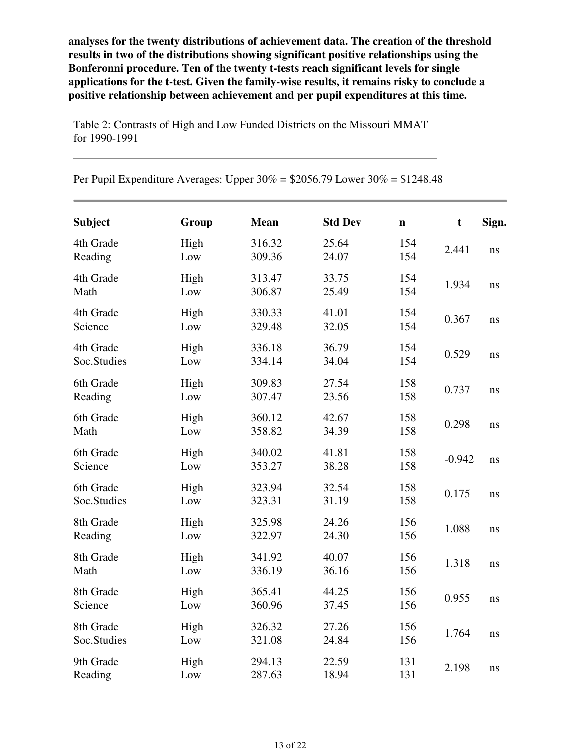**analyses for the twenty distributions of achievement data. The creation of the threshold results in two of the distributions showing significant positive relationships using the Bonferonni procedure. Ten of the twenty t-tests reach significant levels for single applications for the t-test. Given the family-wise results, it remains risky to conclude a positive relationship between achievement and per pupil expenditures at this time.**

**Subject Group Mean Std Dev n t Sign.** 4th Grade Reading High Low 316.32 309.36 25.64 24.07 154  $154$  2.441 ns 4th Grade Math High Low 313.47 306.87 33.75 25.49 154  $154$  1.934 ns 4th Grade Science High Low 330.33 329.48 41.01 32.05 154  $154$  0.367 ns 4th Grade Soc.Studies High Low 336.18 334.14 36.79 34.04 154  $154$  0.529 ns 6th Grade Reading High Low 309.83 307.47 27.54 23.56 158  $\frac{158}{158}$  0.737 ns 6th Grade Math High Low 360.12 358.82 42.67 34.39 158  $\frac{158}{158}$  0.298 ns 6th Grade Science High Low 340.02 353.27 41.81 38.28 158  $\frac{158}{158}$  -0.942 ns 6th Grade Soc.Studies High Low 323.94 323.31 32.54 31.19 158  $\frac{158}{158}$  0.175 ns 8th Grade Reading High Low 325.98 322.97 24.26 24.30 156  $\frac{156}{156}$  1.088 ns 8th Grade Math High Low 341.92 336.19 40.07 36.16 156  $\frac{156}{156}$  1.318 ns 8th Grade Science High Low 365.41 360.96 44.25 37.45 156  $\frac{156}{156}$  0.955 ns 8th Grade Soc.Studies High Low 326.32 321.08 27.26 24.84 156  $\frac{156}{156}$  1.764 ns 9th Grade Reading High Low 294.13 287.63 22.59 18.94 131  $\frac{131}{131}$  2.198 ns

Table 2: Contrasts of High and Low Funded Districts on the Missouri MMAT for 1990-1991

|  | Per Pupil Expenditure Averages: Upper $30\% = $2056.79$ Lower $30\% = $1248.48$ |  |  |  |  |  |  |  |
|--|---------------------------------------------------------------------------------|--|--|--|--|--|--|--|
|--|---------------------------------------------------------------------------------|--|--|--|--|--|--|--|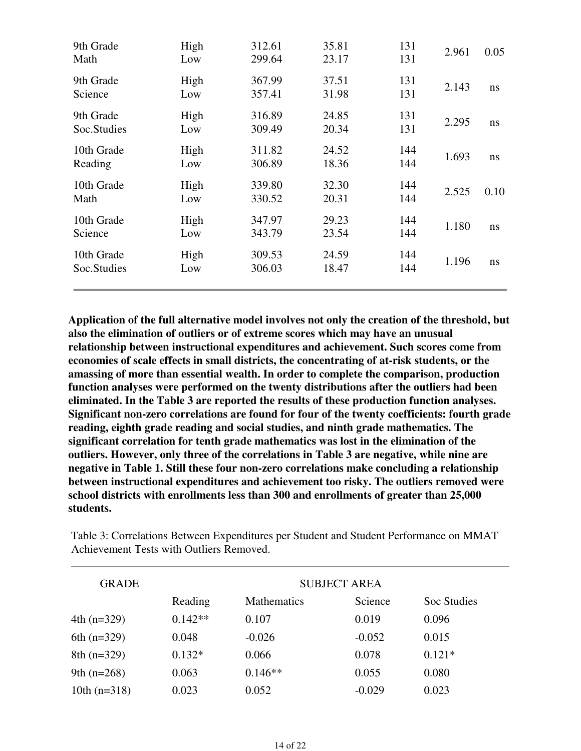| 9th Grade<br>Math         | High<br>Low | 312.61<br>299.64 | 35.81<br>23.17 | 131<br>131 | 2.961 | 0.05 |
|---------------------------|-------------|------------------|----------------|------------|-------|------|
| 9th Grade<br>Science      | High<br>Low | 367.99<br>357.41 | 37.51<br>31.98 | 131<br>131 | 2.143 | ns   |
| 9th Grade<br>Soc.Studies  | High<br>Low | 316.89<br>309.49 | 24.85<br>20.34 | 131<br>131 | 2.295 | ns   |
| 10th Grade<br>Reading     | High<br>Low | 311.82<br>306.89 | 24.52<br>18.36 | 144<br>144 | 1.693 | ns   |
| 10th Grade<br>Math        | High<br>Low | 339.80<br>330.52 | 32.30<br>20.31 | 144<br>144 | 2.525 | 0.10 |
| 10th Grade<br>Science     | High<br>Low | 347.97<br>343.79 | 29.23<br>23.54 | 144<br>144 | 1.180 | ns   |
| 10th Grade<br>Soc.Studies | High<br>Low | 309.53<br>306.03 | 24.59<br>18.47 | 144<br>144 | 1.196 | ns   |

**Application of the full alternative model involves not only the creation of the threshold, but also the elimination of outliers or of extreme scores which may have an unusual relationship between instructional expenditures and achievement. Such scores come from economies of scale effects in small districts, the concentrating of at-risk students, or the amassing of more than essential wealth. In order to complete the comparison, production function analyses were performed on the twenty distributions after the outliers had been eliminated. In the Table 3 are reported the results of these production function analyses. Significant non-zero correlations are found for four of the twenty coefficients: fourth grade reading, eighth grade reading and social studies, and ninth grade mathematics. The significant correlation for tenth grade mathematics was lost in the elimination of the outliers. However, only three of the correlations in Table 3 are negative, while nine are negative in Table 1. Still these four non-zero correlations make concluding a relationship between instructional expenditures and achievement too risky. The outliers removed were school districts with enrollments less than 300 and enrollments of greater than 25,000 students.**

| <b>GRADE</b>   |           |                    | <b>SUBJECT AREA</b> |             |  |
|----------------|-----------|--------------------|---------------------|-------------|--|
|                | Reading   | <b>Mathematics</b> | Science             | Soc Studies |  |
| 4th $(n=329)$  | $0.142**$ | 0.107              | 0.019               | 0.096       |  |
| 6th $(n=329)$  | 0.048     | $-0.026$           | $-0.052$            | 0.015       |  |
| $8th (n=329)$  | $0.132*$  | 0.066              | 0.078               | $0.121*$    |  |
| 9th $(n=268)$  | 0.063     | $0.146**$          | 0.055               | 0.080       |  |
| 10th $(n=318)$ | 0.023     | 0.052              | $-0.029$            | 0.023       |  |

Table 3: Correlations Between Expenditures per Student and Student Performance on MMAT Achievement Tests with Outliers Removed.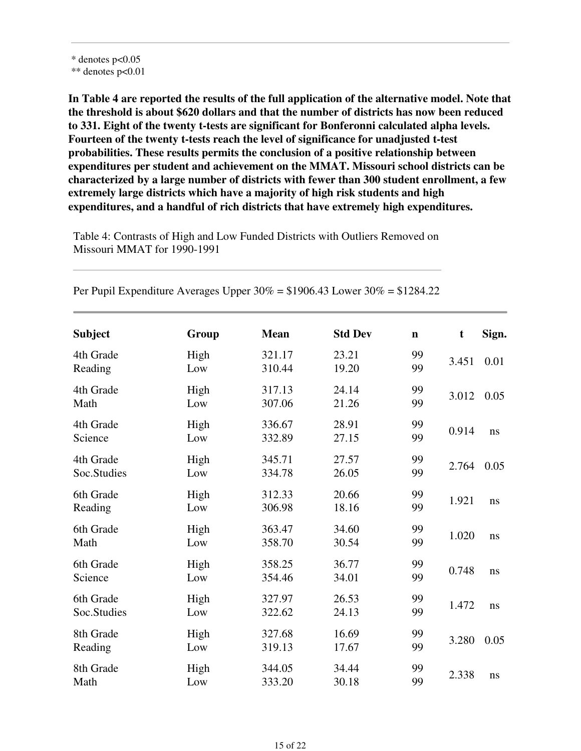**In Table 4 are reported the results of the full application of the alternative model. Note that the threshold is about \$620 dollars and that the number of districts has now been reduced to 331. Eight of the twenty t-tests are significant for Bonferonni calculated alpha levels. Fourteen of the twenty t-tests reach the level of significance for unadjusted t-test probabilities. These results permits the conclusion of a positive relationship between expenditures per student and achievement on the MMAT. Missouri school districts can be characterized by a large number of districts with fewer than 300 student enrollment, a few extremely large districts which have a majority of high risk students and high expenditures, and a handful of rich districts that have extremely high expenditures.**

Table 4: Contrasts of High and Low Funded Districts with Outliers Removed on Missouri MMAT for 1990-1991

| <b>Subject</b>           | Group       | <b>Mean</b>      | <b>Std Dev</b> | $\mathbf n$ | t     | Sign. |
|--------------------------|-------------|------------------|----------------|-------------|-------|-------|
| 4th Grade<br>Reading     | High<br>Low | 321.17<br>310.44 | 23.21<br>19.20 | 99<br>99    | 3.451 | 0.01  |
| 4th Grade<br>Math        | High<br>Low | 317.13<br>307.06 | 24.14<br>21.26 | 99<br>99    | 3.012 | 0.05  |
| 4th Grade<br>Science     | High<br>Low | 336.67<br>332.89 | 28.91<br>27.15 | 99<br>99    | 0.914 | ns    |
| 4th Grade<br>Soc.Studies | High<br>Low | 345.71<br>334.78 | 27.57<br>26.05 | 99<br>99    | 2.764 | 0.05  |
| 6th Grade<br>Reading     | High<br>Low | 312.33<br>306.98 | 20.66<br>18.16 | 99<br>99    | 1.921 | ns    |
| 6th Grade<br>Math        | High<br>Low | 363.47<br>358.70 | 34.60<br>30.54 | 99<br>99    | 1.020 | ns    |
| 6th Grade<br>Science     | High<br>Low | 358.25<br>354.46 | 36.77<br>34.01 | 99<br>99    | 0.748 | ns    |
| 6th Grade<br>Soc.Studies | High<br>Low | 327.97<br>322.62 | 26.53<br>24.13 | 99<br>99    | 1.472 | ns    |
| 8th Grade<br>Reading     | High<br>Low | 327.68<br>319.13 | 16.69<br>17.67 | 99<br>99    | 3.280 | 0.05  |
| 8th Grade<br>Math        | High<br>Low | 344.05<br>333.20 | 34.44<br>30.18 | 99<br>99    | 2.338 | ns    |

Per Pupil Expenditure Averages Upper  $30\% = $1906.43$  Lower  $30\% = $1284.22$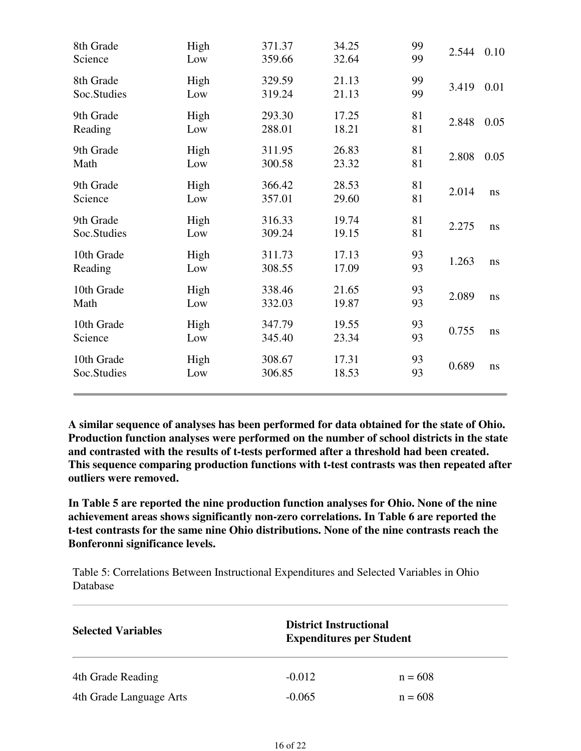| 8th Grade<br>Science      | High<br>Low | 371.37<br>359.66 | 34.25<br>32.64 | 99<br>99 | 2.544 | 0.10 |
|---------------------------|-------------|------------------|----------------|----------|-------|------|
| 8th Grade<br>Soc.Studies  | High<br>Low | 329.59<br>319.24 | 21.13<br>21.13 | 99<br>99 | 3.419 | 0.01 |
| 9th Grade<br>Reading      | High<br>Low | 293.30<br>288.01 | 17.25<br>18.21 | 81<br>81 | 2.848 | 0.05 |
| 9th Grade<br>Math         | High<br>Low | 311.95<br>300.58 | 26.83<br>23.32 | 81<br>81 | 2.808 | 0.05 |
| 9th Grade<br>Science      | High<br>Low | 366.42<br>357.01 | 28.53<br>29.60 | 81<br>81 | 2.014 | ns   |
| 9th Grade<br>Soc.Studies  | High<br>Low | 316.33<br>309.24 | 19.74<br>19.15 | 81<br>81 | 2.275 | ns   |
| 10th Grade<br>Reading     | High<br>Low | 311.73<br>308.55 | 17.13<br>17.09 | 93<br>93 | 1.263 | ns   |
| 10th Grade<br>Math        | High<br>Low | 338.46<br>332.03 | 21.65<br>19.87 | 93<br>93 | 2.089 | ns   |
| 10th Grade<br>Science     | High<br>Low | 347.79<br>345.40 | 19.55<br>23.34 | 93<br>93 | 0.755 | ns   |
| 10th Grade<br>Soc.Studies | High<br>Low | 308.67<br>306.85 | 17.31<br>18.53 | 93<br>93 | 0.689 | ns   |

**A similar sequence of analyses has been performed for data obtained for the state of Ohio. Production function analyses were performed on the number of school districts in the state and contrasted with the results of t-tests performed after a threshold had been created. This sequence comparing production functions with t-test contrasts was then repeated after outliers were removed.**

**In Table 5 are reported the nine production function analyses for Ohio. None of the nine achievement areas shows significantly non-zero correlations. In Table 6 are reported the t-test contrasts for the same nine Ohio distributions. None of the nine contrasts reach the Bonferonni significance levels.**

Table 5: Correlations Between Instructional Expenditures and Selected Variables in Ohio Database

| <b>Selected Variables</b> |          | <b>District Instructional</b><br><b>Expenditures per Student</b> |  |  |  |
|---------------------------|----------|------------------------------------------------------------------|--|--|--|
| 4th Grade Reading         | $-0.012$ | $n = 608$                                                        |  |  |  |
| 4th Grade Language Arts   | $-0.065$ | $n = 608$                                                        |  |  |  |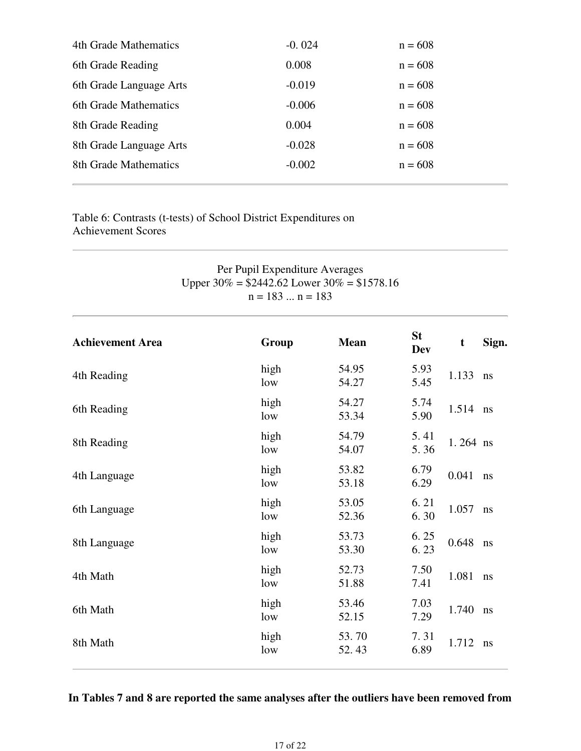| 4th Grade Mathematics   | $-0.024$ | $n = 608$ |
|-------------------------|----------|-----------|
| 6th Grade Reading       | 0.008    | $n = 608$ |
| 6th Grade Language Arts | $-0.019$ | $n = 608$ |
| 6th Grade Mathematics   | $-0.006$ | $n = 608$ |
| 8th Grade Reading       | 0.004    | $n = 608$ |
| 8th Grade Language Arts | $-0.028$ | $n = 608$ |
| 8th Grade Mathematics   | $-0.002$ | $n = 608$ |
|                         |          |           |

Table 6: Contrasts (t-tests) of School District Expenditures on Achievement Scores

| Per Pupil Expenditure Averages<br>Upper $30\%$ = \$2442.62 Lower $30\%$ = \$1578.16<br>$n = 183  n = 183$ |             |                |                         |          |       |  |
|-----------------------------------------------------------------------------------------------------------|-------------|----------------|-------------------------|----------|-------|--|
| <b>Achievement Area</b>                                                                                   | Group       | <b>Mean</b>    | <b>St</b><br><b>Dev</b> | t        | Sign. |  |
| 4th Reading                                                                                               | high<br>low | 54.95<br>54.27 | 5.93<br>5.45            | 1.133    | ns    |  |
| 6th Reading                                                                                               | high<br>low | 54.27<br>53.34 | 5.74<br>5.90            | 1.514    | ns    |  |
| 8th Reading                                                                                               | high<br>low | 54.79<br>54.07 | 5.41<br>5.36            | 1.264 ns |       |  |
| 4th Language                                                                                              | high<br>low | 53.82<br>53.18 | 6.79<br>6.29            | 0.041    | ns    |  |
| 6th Language                                                                                              | high<br>low | 53.05<br>52.36 | 6.21<br>6.30            | 1.057    | ns    |  |
| 8th Language                                                                                              | high<br>low | 53.73<br>53.30 | 6.25<br>6.23            | 0.648    | ns    |  |
| 4th Math                                                                                                  | high<br>low | 52.73<br>51.88 | 7.50<br>7.41            | 1.081    | ns    |  |
| 6th Math                                                                                                  | high<br>low | 53.46<br>52.15 | 7.03<br>7.29            | 1.740    | ns    |  |
| 8th Math                                                                                                  | high<br>low | 53.70<br>52.43 | 7.31<br>6.89            | 1.712    | ns    |  |

## **In Tables 7 and 8 are reported the same analyses after the outliers have been removed from**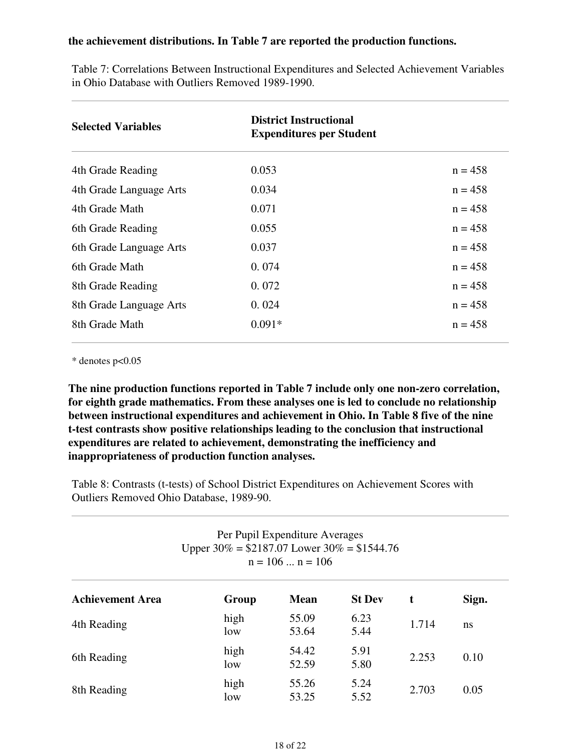#### **the achievement distributions. In Table 7 are reported the production functions.**

| <b>Selected Variables</b> | <b>District Instructional</b><br><b>Expenditures per Student</b> |           |
|---------------------------|------------------------------------------------------------------|-----------|
| 4th Grade Reading         | 0.053                                                            | $n = 458$ |
| 4th Grade Language Arts   | 0.034                                                            | $n = 458$ |
| 4th Grade Math            | 0.071                                                            | $n = 458$ |
| 6th Grade Reading         | 0.055                                                            | $n = 458$ |
| 6th Grade Language Arts   | 0.037                                                            | $n = 458$ |
| 6th Grade Math            | 0.074                                                            | $n = 458$ |
| 8th Grade Reading         | 0.072                                                            | $n = 458$ |
| 8th Grade Language Arts   | 0.024                                                            | $n = 458$ |
| 8th Grade Math            | $0.091*$                                                         | $n = 458$ |

Table 7: Correlations Between Instructional Expenditures and Selected Achievement Variables in Ohio Database with Outliers Removed 1989-1990.

 $*$  denotes p $<0.05$ 

**The nine production functions reported in Table 7 include only one non-zero correlation, for eighth grade mathematics. From these analyses one is led to conclude no relationship between instructional expenditures and achievement in Ohio. In Table 8 five of the nine t-test contrasts show positive relationships leading to the conclusion that instructional expenditures are related to achievement, demonstrating the inefficiency and inappropriateness of production function analyses.**

Table 8: Contrasts (t-tests) of School District Expenditures on Achievement Scores with Outliers Removed Ohio Database, 1989-90.

| Per Pupil Expenditure Averages<br>Upper $30\% = $2187.07$ Lower $30\% = $1544.76$<br>$n = 106$ $n = 106$ |             |                |               |       |       |  |  |
|----------------------------------------------------------------------------------------------------------|-------------|----------------|---------------|-------|-------|--|--|
| <b>Achievement Area</b>                                                                                  | Group       | <b>Mean</b>    | <b>St Dev</b> | t     | Sign. |  |  |
| 4th Reading                                                                                              | high<br>low | 55.09<br>53.64 | 6.23<br>5.44  | 1.714 | ns    |  |  |
| 6th Reading                                                                                              | high<br>low | 54.42<br>52.59 | 5.91<br>5.80  | 2.253 | 0.10  |  |  |
| 8th Reading                                                                                              | high<br>low | 55.26<br>53.25 | 5.24<br>5.52  | 2.703 | 0.05  |  |  |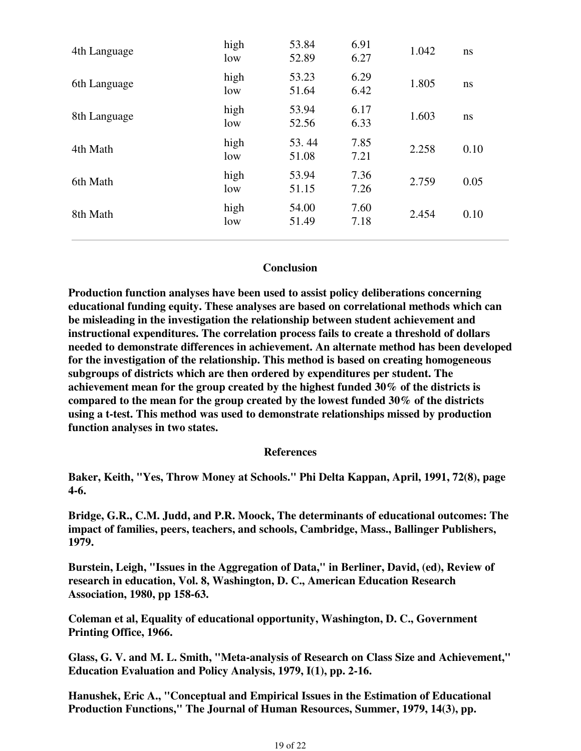| 4th Language | high<br>low | 53.84<br>52.89 | 6.91<br>6.27 | 1.042 | ns   |
|--------------|-------------|----------------|--------------|-------|------|
| 6th Language | high<br>low | 53.23<br>51.64 | 6.29<br>6.42 | 1.805 | ns   |
| 8th Language | high<br>low | 53.94<br>52.56 | 6.17<br>6.33 | 1.603 | ns   |
| 4th Math     | high<br>low | 53.44<br>51.08 | 7.85<br>7.21 | 2.258 | 0.10 |
| 6th Math     | high<br>low | 53.94<br>51.15 | 7.36<br>7.26 | 2.759 | 0.05 |
| 8th Math     | high<br>low | 54.00<br>51.49 | 7.60<br>7.18 | 2.454 | 0.10 |
|              |             |                |              |       |      |

#### **Conclusion**

**Production function analyses have been used to assist policy deliberations concerning educational funding equity. These analyses are based on correlational methods which can be misleading in the investigation the relationship between student achievement and instructional expenditures. The correlation process fails to create a threshold of dollars needed to demonstrate differences in achievement. An alternate method has been developed for the investigation of the relationship. This method is based on creating homogeneous subgroups of districts which are then ordered by expenditures per student. The achievement mean for the group created by the highest funded 30% of the districts is compared to the mean for the group created by the lowest funded 30% of the districts using a t-test. This method was used to demonstrate relationships missed by production function analyses in two states.**

#### **References**

**Baker, Keith, "Yes, Throw Money at Schools." Phi Delta Kappan, April, 1991, 72(8), page 4-6.**

**Bridge, G.R., C.M. Judd, and P.R. Moock, The determinants of educational outcomes: The impact of families, peers, teachers, and schools, Cambridge, Mass., Ballinger Publishers, 1979.**

**Burstein, Leigh, "Issues in the Aggregation of Data," in Berliner, David, (ed), Review of research in education, Vol. 8, Washington, D. C., American Education Research Association, 1980, pp 158-63.**

**Coleman et al, Equality of educational opportunity, Washington, D. C., Government Printing Office, 1966.**

**Glass, G. V. and M. L. Smith, "Meta-analysis of Research on Class Size and Achievement," Education Evaluation and Policy Analysis, 1979, I(1), pp. 2-16.**

**Hanushek, Eric A., "Conceptual and Empirical Issues in the Estimation of Educational Production Functions," The Journal of Human Resources, Summer, 1979, 14(3), pp.**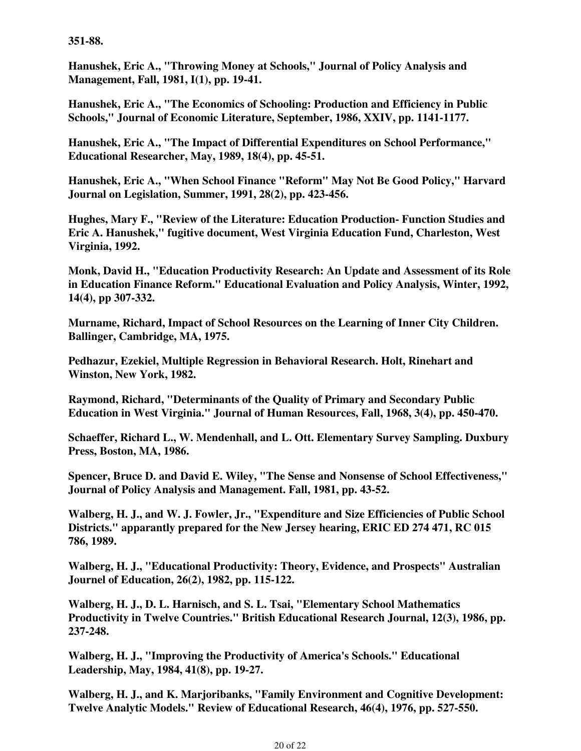**351-88.**

**Hanushek, Eric A., "Throwing Money at Schools," Journal of Policy Analysis and Management, Fall, 1981, I(1), pp. 19-41.**

**Hanushek, Eric A., "The Economics of Schooling: Production and Efficiency in Public Schools," Journal of Economic Literature, September, 1986, XXIV, pp. 1141-1177.**

**Hanushek, Eric A., "The Impact of Differential Expenditures on School Performance," Educational Researcher, May, 1989, 18(4), pp. 45-51.**

**Hanushek, Eric A., "When School Finance "Reform" May Not Be Good Policy," Harvard Journal on Legislation, Summer, 1991, 28(2), pp. 423-456.**

**Hughes, Mary F., "Review of the Literature: Education Production- Function Studies and Eric A. Hanushek," fugitive document, West Virginia Education Fund, Charleston, West Virginia, 1992.**

**Monk, David H., "Education Productivity Research: An Update and Assessment of its Role in Education Finance Reform." Educational Evaluation and Policy Analysis, Winter, 1992, 14(4), pp 307-332.**

**Murname, Richard, Impact of School Resources on the Learning of Inner City Children. Ballinger, Cambridge, MA, 1975.**

**Pedhazur, Ezekiel, Multiple Regression in Behavioral Research. Holt, Rinehart and Winston, New York, 1982.**

**Raymond, Richard, "Determinants of the Quality of Primary and Secondary Public Education in West Virginia." Journal of Human Resources, Fall, 1968, 3(4), pp. 450-470.**

**Schaeffer, Richard L., W. Mendenhall, and L. Ott. Elementary Survey Sampling. Duxbury Press, Boston, MA, 1986.**

**Spencer, Bruce D. and David E. Wiley, "The Sense and Nonsense of School Effectiveness," Journal of Policy Analysis and Management. Fall, 1981, pp. 43-52.**

**Walberg, H. J., and W. J. Fowler, Jr., "Expenditure and Size Efficiencies of Public School Districts." apparantly prepared for the New Jersey hearing, ERIC ED 274 471, RC 015 786, 1989.**

**Walberg, H. J., "Educational Productivity: Theory, Evidence, and Prospects" Australian Journel of Education, 26(2), 1982, pp. 115-122.**

**Walberg, H. J., D. L. Harnisch, and S. L. Tsai, "Elementary School Mathematics Productivity in Twelve Countries." British Educational Research Journal, 12(3), 1986, pp. 237-248.**

**Walberg, H. J., "Improving the Productivity of America's Schools." Educational Leadership, May, 1984, 41(8), pp. 19-27.**

**Walberg, H. J., and K. Marjoribanks, "Family Environment and Cognitive Development: Twelve Analytic Models." Review of Educational Research, 46(4), 1976, pp. 527-550.**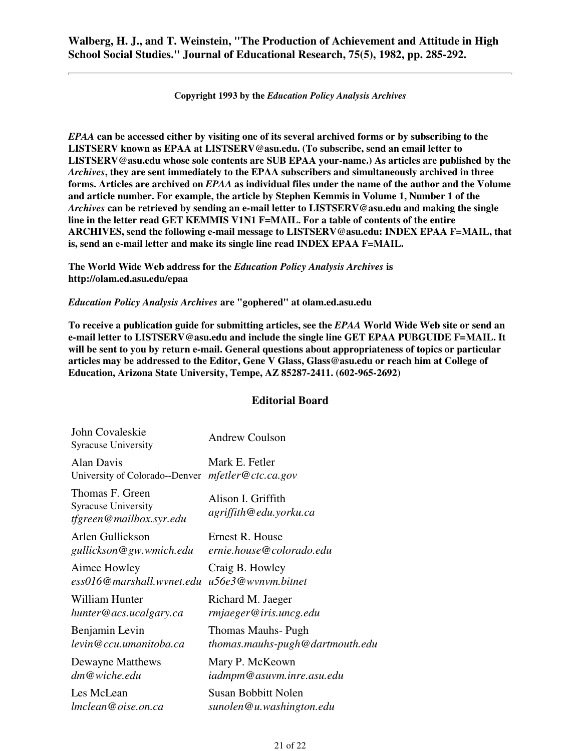**Copyright 1993 by the** *Education Policy Analysis Archives*

*EPAA* **can be accessed either by visiting one of its several archived forms or by subscribing to the LISTSERV known as EPAA at LISTSERV@asu.edu. (To subscribe, send an email letter to LISTSERV@asu.edu whose sole contents are SUB EPAA your-name.) As articles are published by the** *Archives***, they are sent immediately to the EPAA subscribers and simultaneously archived in three forms. Articles are archived on** *EPAA* **as individual files under the name of the author and the Volume and article number. For example, the article by Stephen Kemmis in Volume 1, Number 1 of the** *Archives* **can be retrieved by sending an e-mail letter to LISTSERV@asu.edu and making the single line in the letter read GET KEMMIS V1N1 F=MAIL. For a table of contents of the entire ARCHIVES, send the following e-mail message to LISTSERV@asu.edu: INDEX EPAA F=MAIL, that is, send an e-mail letter and make its single line read INDEX EPAA F=MAIL.**

**The World Wide Web address for the** *Education Policy Analysis Archives* **is http://olam.ed.asu.edu/epaa**

*Education Policy Analysis Archives* **are "gophered" at olam.ed.asu.edu**

**To receive a publication guide for submitting articles, see the** *EPAA* **World Wide Web site or send an e-mail letter to LISTSERV@asu.edu and include the single line GET EPAA PUBGUIDE F=MAIL. It will be sent to you by return e-mail. General questions about appropriateness of topics or particular articles may be addressed to the Editor, Gene V Glass, Glass@asu.edu or reach him at College of Education, Arizona State University, Tempe, AZ 85287-2411. (602-965-2692)**

#### **Editorial Board**

| John Covaleskie<br><b>Syracuse University</b>                            | <b>Andrew Coulson</b>                        |
|--------------------------------------------------------------------------|----------------------------------------------|
| <b>Alan Davis</b>                                                        | Mark E. Fetler                               |
| University of Colorado--Denver                                           | mfetter@ctc.ca.gov                           |
| Thomas F. Green<br><b>Syracuse University</b><br>tfgreen@mailbox.syr.edu | Alison I. Griffith<br>agriffith@edu.yorku.ca |
| Arlen Gullickson                                                         | Ernest R. House                              |
| gullickson@gw.wmich.edu                                                  | ernie.house@colorado.edu                     |
| Aimee Howley                                                             | Craig B. Howley                              |
| ess016@marshall.wynet.edu                                                | u56e3@wynym.bitnet                           |
| William Hunter                                                           | Richard M. Jaeger                            |
| hunter@acs.ucalgary.ca                                                   | rmjaeger@iris.uncg.edu                       |
| Benjamin Levin                                                           | Thomas Mauhs- Pugh                           |
| levin@ccu.umanitoba.ca                                                   | thomas.mauhs-pugh@dartmouth.edu              |
| Dewayne Matthews                                                         | Mary P. McKeown                              |
| dm@wiche.edu                                                             | iadmpm@asuvm.inre.asu.edu                    |
| Les McLean                                                               | Susan Bobbitt Nolen                          |
| lmclean@oise.on.ca                                                       | sunolen@u.washington.edu                     |